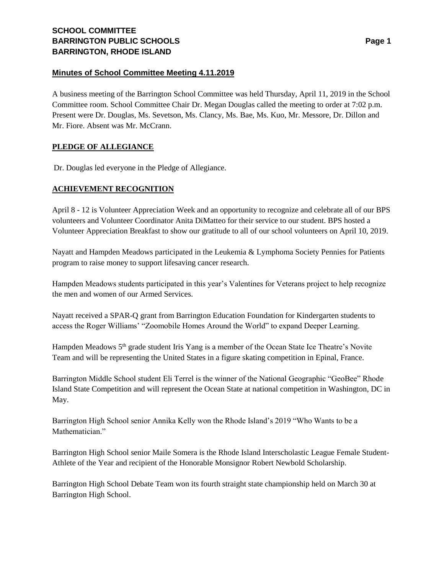## **Minutes of School Committee Meeting 4.11.2019**

A business meeting of the Barrington School Committee was held Thursday, April 11, 2019 in the School Committee room. School Committee Chair Dr. Megan Douglas called the meeting to order at 7:02 p.m. Present were Dr. Douglas, Ms. Sevetson, Ms. Clancy, Ms. Bae, Ms. Kuo, Mr. Messore, Dr. Dillon and Mr. Fiore. Absent was Mr. McCrann.

# **PLEDGE OF ALLEGIANCE**

Dr. Douglas led everyone in the Pledge of Allegiance.

# **ACHIEVEMENT RECOGNITION**

April 8 - 12 is Volunteer Appreciation Week and an opportunity to recognize and celebrate all of our BPS volunteers and Volunteer Coordinator Anita DiMatteo for their service to our student. BPS hosted a Volunteer Appreciation Breakfast to show our gratitude to all of our school volunteers on April 10, 2019.

Nayatt and Hampden Meadows participated in the Leukemia & Lymphoma Society Pennies for Patients program to raise money to support lifesaving cancer research.

Hampden Meadows students participated in this year's Valentines for Veterans project to help recognize the men and women of our Armed Services.

Nayatt received a SPAR-Q grant from Barrington Education Foundation for Kindergarten students to access the Roger Williams' "Zoomobile Homes Around the World" to expand Deeper Learning.

Hampden Meadows 5<sup>th</sup> grade student Iris Yang is a member of the Ocean State Ice Theatre's Novite Team and will be representing the United States in a figure skating competition in Epinal, France.

Barrington Middle School student Eli Terrel is the winner of the National Geographic "GeoBee" Rhode Island State Competition and will represent the Ocean State at national competition in Washington, DC in May.

Barrington High School senior Annika Kelly won the Rhode Island's 2019 "Who Wants to be a Mathematician."

Barrington High School senior Maile Somera is the Rhode Island Interscholastic League Female Student-Athlete of the Year and recipient of the Honorable Monsignor Robert Newbold Scholarship.

Barrington High School Debate Team won its fourth straight state championship held on March 30 at Barrington High School.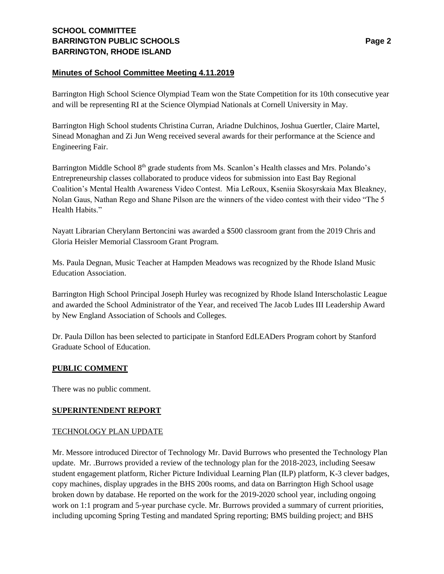# **Minutes of School Committee Meeting 4.11.2019**

Barrington High School Science Olympiad Team won the State Competition for its 10th consecutive year and will be representing RI at the Science Olympiad Nationals at Cornell University in May.

Barrington High School students Christina Curran, Ariadne Dulchinos, Joshua Guertler, Claire Martel, Sinead Monaghan and Zi Jun Weng received several awards for their performance at the Science and Engineering Fair.

Barrington Middle School 8<sup>th</sup> grade students from Ms. Scanlon's Health classes and Mrs. Polando's Entrepreneurship classes collaborated to produce videos for submission into East Bay Regional Coalition's Mental Health Awareness Video Contest. Mia LeRoux, Kseniia Skosyrskaia Max Bleakney, Nolan Gaus, Nathan Rego and Shane Pilson are the winners of the video contest with their video "The 5 Health Habits."

Nayatt Librarian Cherylann Bertoncini was awarded a \$500 classroom grant from the 2019 Chris and Gloria Heisler Memorial Classroom Grant Program.

Ms. Paula Degnan, Music Teacher at Hampden Meadows was recognized by the Rhode Island Music Education Association.

Barrington High School Principal Joseph Hurley was recognized by Rhode Island Interscholastic League and awarded the School Administrator of the Year, and received The Jacob Ludes III Leadership Award by New England Association of Schools and Colleges.

Dr. Paula Dillon has been selected to participate in Stanford EdLEADers Program cohort by Stanford Graduate School of Education.

## **PUBLIC COMMENT**

There was no public comment.

## **SUPERINTENDENT REPORT**

## TECHNOLOGY PLAN UPDATE

Mr. Messore introduced Director of Technology Mr. David Burrows who presented the Technology Plan update. Mr. .Burrows provided a review of the technology plan for the 2018-2023, including Seesaw student engagement platform, Richer Picture Individual Learning Plan (ILP) platform, K-3 clever badges, copy machines, display upgrades in the BHS 200s rooms, and data on Barrington High School usage broken down by database. He reported on the work for the 2019-2020 school year, including ongoing work on 1:1 program and 5-year purchase cycle. Mr. Burrows provided a summary of current priorities, including upcoming Spring Testing and mandated Spring reporting; BMS building project; and BHS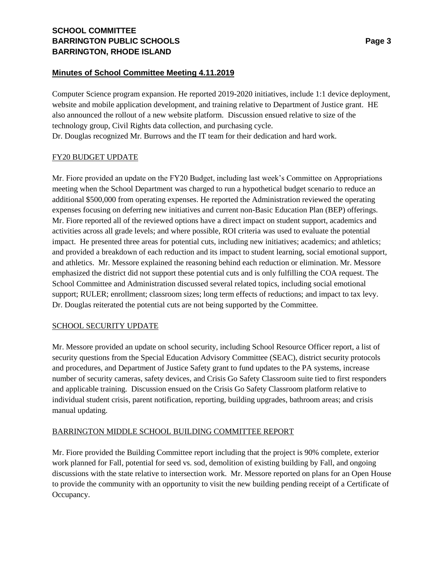### **Minutes of School Committee Meeting 4.11.2019**

Computer Science program expansion. He reported 2019-2020 initiatives, include 1:1 device deployment, website and mobile application development, and training relative to Department of Justice grant. HE also announced the rollout of a new website platform. Discussion ensued relative to size of the technology group, Civil Rights data collection, and purchasing cycle. Dr. Douglas recognized Mr. Burrows and the IT team for their dedication and hard work.

### FY20 BUDGET UPDATE

Mr. Fiore provided an update on the FY20 Budget, including last week's Committee on Appropriations meeting when the School Department was charged to run a hypothetical budget scenario to reduce an additional \$500,000 from operating expenses. He reported the Administration reviewed the operating expenses focusing on deferring new initiatives and current non-Basic Education Plan (BEP) offerings. Mr. Fiore reported all of the reviewed options have a direct impact on student support, academics and activities across all grade levels; and where possible, ROI criteria was used to evaluate the potential impact. He presented three areas for potential cuts, including new initiatives; academics; and athletics; and provided a breakdown of each reduction and its impact to student learning, social emotional support, and athletics. Mr. Messore explained the reasoning behind each reduction or elimination. Mr. Messore emphasized the district did not support these potential cuts and is only fulfilling the COA request. The School Committee and Administration discussed several related topics, including social emotional support; RULER; enrollment; classroom sizes; long term effects of reductions; and impact to tax levy. Dr. Douglas reiterated the potential cuts are not being supported by the Committee.

## SCHOOL SECURITY UPDATE

Mr. Messore provided an update on school security, including School Resource Officer report, a list of security questions from the Special Education Advisory Committee (SEAC), district security protocols and procedures, and Department of Justice Safety grant to fund updates to the PA systems, increase number of security cameras, safety devices, and Crisis Go Safety Classroom suite tied to first responders and applicable training. Discussion ensued on the Crisis Go Safety Classroom platform relative to individual student crisis, parent notification, reporting, building upgrades, bathroom areas; and crisis manual updating.

## BARRINGTON MIDDLE SCHOOL BUILDING COMMITTEE REPORT

Mr. Fiore provided the Building Committee report including that the project is 90% complete, exterior work planned for Fall, potential for seed vs. sod, demolition of existing building by Fall, and ongoing discussions with the state relative to intersection work. Mr. Messore reported on plans for an Open House to provide the community with an opportunity to visit the new building pending receipt of a Certificate of Occupancy.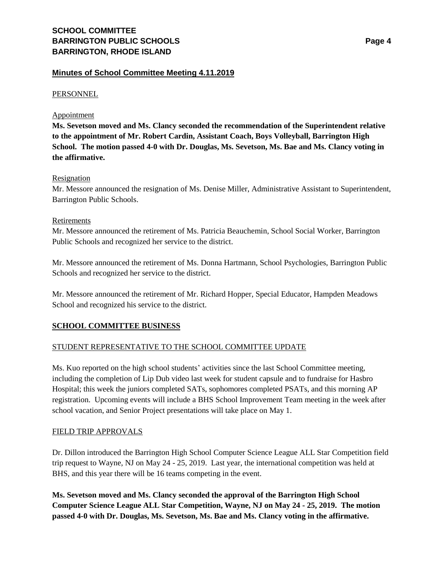### **Minutes of School Committee Meeting 4.11.2019**

#### PERSONNEL

#### Appointment

**Ms. Sevetson moved and Ms. Clancy seconded the recommendation of the Superintendent relative to the appointment of Mr. Robert Cardin, Assistant Coach, Boys Volleyball, Barrington High School. The motion passed 4-0 with Dr. Douglas, Ms. Sevetson, Ms. Bae and Ms. Clancy voting in the affirmative.** 

### Resignation

Mr. Messore announced the resignation of Ms. Denise Miller, Administrative Assistant to Superintendent, Barrington Public Schools.

#### Retirements

Mr. Messore announced the retirement of Ms. Patricia Beauchemin, School Social Worker, Barrington Public Schools and recognized her service to the district.

Mr. Messore announced the retirement of Ms. Donna Hartmann, School Psychologies, Barrington Public Schools and recognized her service to the district.

Mr. Messore announced the retirement of Mr. Richard Hopper, Special Educator, Hampden Meadows School and recognized his service to the district.

## **SCHOOL COMMITTEE BUSINESS**

## STUDENT REPRESENTATIVE TO THE SCHOOL COMMITTEE UPDATE

Ms. Kuo reported on the high school students' activities since the last School Committee meeting, including the completion of Lip Dub video last week for student capsule and to fundraise for Hasbro Hospital; this week the juniors completed SATs, sophomores completed PSATs, and this morning AP registration. Upcoming events will include a BHS School Improvement Team meeting in the week after school vacation, and Senior Project presentations will take place on May 1.

#### FIELD TRIP APPROVALS

Dr. Dillon introduced the Barrington High School Computer Science League ALL Star Competition field trip request to Wayne, NJ on May 24 - 25, 2019. Last year, the international competition was held at BHS, and this year there will be 16 teams competing in the event.

**Ms. Sevetson moved and Ms. Clancy seconded the approval of the Barrington High School Computer Science League ALL Star Competition, Wayne, NJ on May 24 - 25, 2019. The motion passed 4-0 with Dr. Douglas, Ms. Sevetson, Ms. Bae and Ms. Clancy voting in the affirmative.**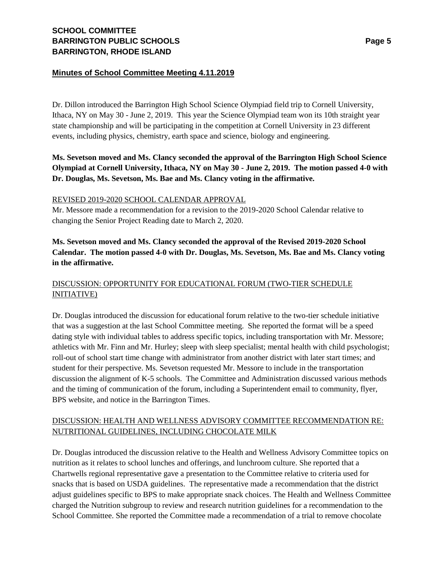# **Minutes of School Committee Meeting 4.11.2019**

Dr. Dillon introduced the Barrington High School Science Olympiad field trip to Cornell University, Ithaca, NY on May 30 - June 2, 2019. This year the Science Olympiad team won its 10th straight year state championship and will be participating in the competition at Cornell University in 23 different events, including physics, chemistry, earth space and science, biology and engineering.

# **Ms. Sevetson moved and Ms. Clancy seconded the approval of the Barrington High School Science Olympiad at Cornell University, Ithaca, NY on May 30 - June 2, 2019. The motion passed 4-0 with Dr. Douglas, Ms. Sevetson, Ms. Bae and Ms. Clancy voting in the affirmative.**

## REVISED 2019-2020 SCHOOL CALENDAR APPROVAL

Mr. Messore made a recommendation for a revision to the 2019-2020 School Calendar relative to changing the Senior Project Reading date to March 2, 2020.

# **Ms. Sevetson moved and Ms. Clancy seconded the approval of the Revised 2019-2020 School Calendar. The motion passed 4-0 with Dr. Douglas, Ms. Sevetson, Ms. Bae and Ms. Clancy voting in the affirmative.**

# DISCUSSION: OPPORTUNITY FOR EDUCATIONAL FORUM (TWO-TIER SCHEDULE INITIATIVE)

Dr. Douglas introduced the discussion for educational forum relative to the two-tier schedule initiative that was a suggestion at the last School Committee meeting. She reported the format will be a speed dating style with individual tables to address specific topics, including transportation with Mr. Messore; athletics with Mr. Finn and Mr. Hurley; sleep with sleep specialist; mental health with child psychologist; roll-out of school start time change with administrator from another district with later start times; and student for their perspective. Ms. Sevetson requested Mr. Messore to include in the transportation discussion the alignment of K-5 schools. The Committee and Administration discussed various methods and the timing of communication of the forum, including a Superintendent email to community, flyer, BPS website, and notice in the Barrington Times.

# DISCUSSION: HEALTH AND WELLNESS ADVISORY COMMITTEE RECOMMENDATION RE: NUTRITIONAL GUIDELINES, INCLUDING CHOCOLATE MILK

Dr. Douglas introduced the discussion relative to the Health and Wellness Advisory Committee topics on nutrition as it relates to school lunches and offerings, and lunchroom culture. She reported that a Chartwells regional representative gave a presentation to the Committee relative to criteria used for snacks that is based on USDA guidelines. The representative made a recommendation that the district adjust guidelines specific to BPS to make appropriate snack choices. The Health and Wellness Committee charged the Nutrition subgroup to review and research nutrition guidelines for a recommendation to the School Committee. She reported the Committee made a recommendation of a trial to remove chocolate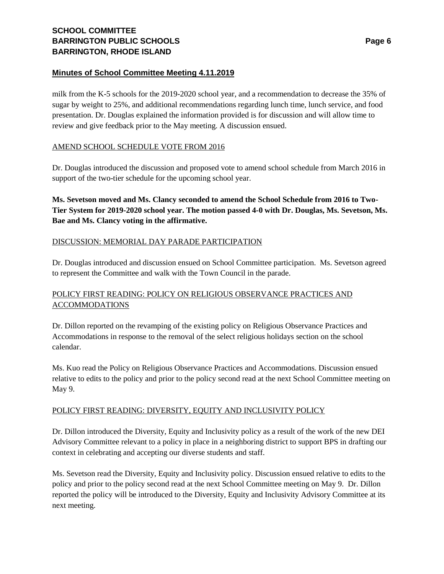# **Minutes of School Committee Meeting 4.11.2019**

milk from the K-5 schools for the 2019-2020 school year, and a recommendation to decrease the 35% of sugar by weight to 25%, and additional recommendations regarding lunch time, lunch service, and food presentation. Dr. Douglas explained the information provided is for discussion and will allow time to review and give feedback prior to the May meeting. A discussion ensued.

# AMEND SCHOOL SCHEDULE VOTE FROM 2016

Dr. Douglas introduced the discussion and proposed vote to amend school schedule from March 2016 in support of the two-tier schedule for the upcoming school year.

**Ms. Sevetson moved and Ms. Clancy seconded to amend the School Schedule from 2016 to Two-Tier System for 2019-2020 school year. The motion passed 4-0 with Dr. Douglas, Ms. Sevetson, Ms. Bae and Ms. Clancy voting in the affirmative.** 

# DISCUSSION: MEMORIAL DAY PARADE PARTICIPATION

Dr. Douglas introduced and discussion ensued on School Committee participation. Ms. Sevetson agreed to represent the Committee and walk with the Town Council in the parade.

# POLICY FIRST READING: POLICY ON RELIGIOUS OBSERVANCE PRACTICES AND ACCOMMODATIONS

Dr. Dillon reported on the revamping of the existing policy on Religious Observance Practices and Accommodations in response to the removal of the select religious holidays section on the school calendar.

Ms. Kuo read the Policy on Religious Observance Practices and Accommodations. Discussion ensued relative to edits to the policy and prior to the policy second read at the next School Committee meeting on May 9.

## POLICY FIRST READING: DIVERSITY, EQUITY AND INCLUSIVITY POLICY

Dr. Dillon introduced the Diversity, Equity and Inclusivity policy as a result of the work of the new DEI Advisory Committee relevant to a policy in place in a neighboring district to support BPS in drafting our context in celebrating and accepting our diverse students and staff.

Ms. Sevetson read the Diversity, Equity and Inclusivity policy. Discussion ensued relative to edits to the policy and prior to the policy second read at the next School Committee meeting on May 9. Dr. Dillon reported the policy will be introduced to the Diversity, Equity and Inclusivity Advisory Committee at its next meeting.